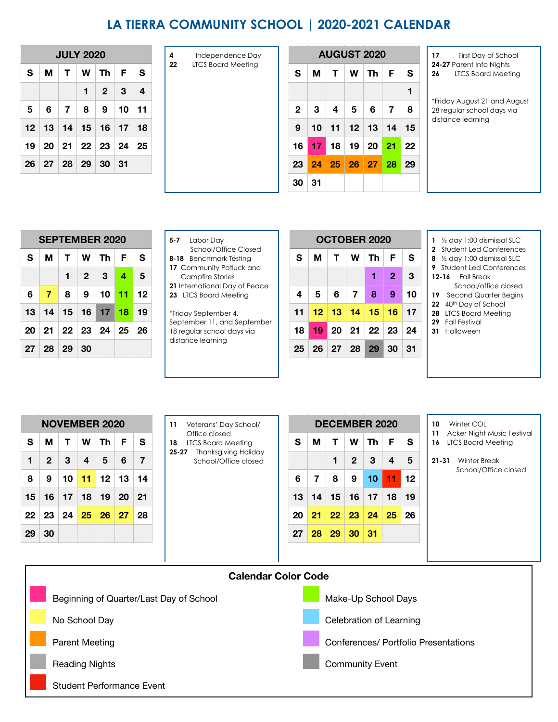## **LA TIERRA COMMUNITY SCHOOL | 2020-2021 CALENDAR**

|   | <b>JULY 2020</b> |  |  |                                          |  |                |  |  |  |  |  |
|---|------------------|--|--|------------------------------------------|--|----------------|--|--|--|--|--|
| S | м                |  |  | T   W   Th   F                           |  |                |  |  |  |  |  |
|   |                  |  |  | $1 \quad 2 \quad 3$                      |  | $\blacksquare$ |  |  |  |  |  |
| 5 |                  |  |  | $6 \mid 7 \mid 8 \mid 9 \mid 10 \mid 11$ |  |                |  |  |  |  |  |
|   |                  |  |  | 12 13 14 15 16 17 18                     |  |                |  |  |  |  |  |
|   |                  |  |  | 19 20 21 22 23 24 25                     |  |                |  |  |  |  |  |
|   |                  |  |  | 26 27 28 29 30 31                        |  |                |  |  |  |  |  |

| 4  | Independence Day   |              |
|----|--------------------|--------------|
| 22 | LTCS Board Meeting | S            |
|    |                    |              |
|    |                    | $\mathbf{2}$ |
|    |                    | 9            |
|    |                    | 16           |
|    |                    | 23           |
|    |                    |              |

| <b>JULY 2020</b> |         |              | Independence Day<br>4 |    | <b>AUGUST 2020</b> |                           |    |    |    |    |    |    |    |
|------------------|---------|--------------|-----------------------|----|--------------------|---------------------------|----|----|----|----|----|----|----|
| т                | W       | Th           | F                     | S  | 22                 | <b>LTCS Board Meeting</b> | S  | М  | т  | W  | Th | F  | S  |
|                  | 1       | $\mathbf{2}$ | 3                     | 4  |                    |                           |    |    |    |    |    |    | 1  |
| 7                | 8       | 9            | 10                    | 11 |                    | $\mathbf{2}$              | з  | 4  | 5  | 6  | 7  | 8  |    |
| 14               | 15      | 16           | 17                    | 18 |                    |                           | 9  | 10 | 11 | 12 | 13 | 14 | 15 |
| 21               | $22 \,$ | 23           | 24                    | 25 |                    |                           | 16 | 17 | 18 | 19 | 20 | 21 | 22 |
| 28               | 29      | 30           | 31                    |    |                    | 23                        | 24 | 25 | 26 | 27 | 28 | 29 |    |
|                  |         |              |                       |    |                    |                           | 30 | 31 |    |    |    |    |    |

- **17** First Day of School
- **24-27** Parent Info Nights
- **26** LTCS Board Meeting

\*Friday August 21 and August 28 regular school days via distance learning

|    | <b>SEPTEMBER 2020</b>                         |  |  |                             |  |    |  |  |  |  |  |  |
|----|-----------------------------------------------|--|--|-----------------------------|--|----|--|--|--|--|--|--|
| S. | м                                             |  |  | T   W   Th   F              |  | S  |  |  |  |  |  |  |
|    |                                               |  |  | $1 \quad 2 \quad 3 \quad 4$ |  | -5 |  |  |  |  |  |  |
| 6. | 7   8   9   10 <mark>  11</mark>   12         |  |  |                             |  |    |  |  |  |  |  |  |
|    | 13   14   15   16   17   <mark>18</mark>   19 |  |  |                             |  |    |  |  |  |  |  |  |
|    | 20 21 22 23 24 25 26                          |  |  |                             |  |    |  |  |  |  |  |  |
|    | $27 \mid 28 \mid 29 \mid 30$                  |  |  |                             |  |    |  |  |  |  |  |  |

| 5-7                      | Labor Day                                 |  |  |  |  |  |  |  |
|--------------------------|-------------------------------------------|--|--|--|--|--|--|--|
|                          | School/Office Closed                      |  |  |  |  |  |  |  |
|                          | 8-18 Benchmark Testing                    |  |  |  |  |  |  |  |
| 17 Community Potluck and |                                           |  |  |  |  |  |  |  |
|                          | $C$ and $E_{\text{max}}$ $C_{\text{max}}$ |  |  |  |  |  |  |  |

| <b>SEPTEMBER 2020</b> |    |    |    |    |    | Labor Dav<br>$5 - 7$                                      |    |       | <b>OCTOBER 2020</b> |    | 1 $\frac{1}{2}$ day 1:00 dismissal SLC |              |          |                                                                   |
|-----------------------|----|----|----|----|----|-----------------------------------------------------------|----|-------|---------------------|----|----------------------------------------|--------------|----------|-------------------------------------------------------------------|
| М                     |    | W  | Th | F  | S  | School/Office Closed<br>8-18 Benchmark Testing            | S  | М     |                     | W  | Th                                     | F            | <b>S</b> | 2 Student Led Conference<br>8 1/2 day 1:00 dismissal SLC          |
|                       |    | 2  | 3  | 4  | 5  | 17 Community Potluck and<br>Campfire Stories              |    |       |                     |    |                                        | $\mathbf{2}$ | 3        | <b>9</b> Student Led Conference<br><b>Fall Break</b><br>$12 - 16$ |
|                       | 8  | 9  | 10 | 11 | 12 | 21 International Day of Peace<br>23 LTCS Board Meeting    | 4  | 5     | 6                   |    | 8                                      | 9            | 10       | School/office closed<br>19 Second Quarter Begin                   |
| 14                    | 15 | 16 | 17 | 18 | 19 | *Friday September 4,                                      | 11 | $\P2$ | 13                  | 14 | 15                                     |              | $16$ 17  | 22 40 <sup>th</sup> Day of School<br>28 LTCS Board Meeting        |
| 21                    | 22 | 23 | 24 | 25 | 26 | September 11, and September<br>18 regular school days via | 18 | 19    | 20                  | 21 |                                        | $22 \mid 23$ | 24       | 29 Fall Festival<br>31 Halloween                                  |
| 28                    | 29 | 30 |    |    |    | distance learning                                         | 25 | 26    | 27                  | 28 | 29                                     | 30           | 31       |                                                                   |

| 1 $\frac{1}{2}$ day 1:00 dismissal SLC |
|----------------------------------------|
|----------------------------------------|

- **2** Student Led Conferences
- **8** ½ day 1:00 dismissal SLC
- **9** Student Led Conferences
- **12-16** Fall Break
- School/office closed
- 19 Second Quarter Begins
- 22 40<sup>th</sup> Day of School
- **28** LTCS Board Meeting
- **29** Fall Festival
- **31** Halloween

|                   | <b>NOVEMBER 2020</b>   |  |  |  |  |  |  |  |  |  |  |  |
|-------------------|------------------------|--|--|--|--|--|--|--|--|--|--|--|
| S.                | M   T   W   Th   F   S |  |  |  |  |  |  |  |  |  |  |  |
| $\mathbf{1}$      | 2 3 4 5 6 7            |  |  |  |  |  |  |  |  |  |  |  |
|                   | 8 9 10 11 12 13 14     |  |  |  |  |  |  |  |  |  |  |  |
|                   | 15 16 17 18 19 20 21   |  |  |  |  |  |  |  |  |  |  |  |
|                   | 22 23 24 25 26 27 28   |  |  |  |  |  |  |  |  |  |  |  |
| $29 \, \text{30}$ |                        |  |  |  |  |  |  |  |  |  |  |  |

| 11 | Veterans' Day School/ |
|----|-----------------------|
|    | Office closed         |

- **18** LTCS Board Meeting
- **25-27** Thanksgiving Holiday School/Office closed

|              | <b>NOVEMBER 2020</b> |    | 11        | Veterans' Day School/ | <b>DECEMBER 2020</b> |    |                                                                  |    |    |    |              |                           | Winter COL<br>10<br>Acker Night |    |          |  |              |
|--------------|----------------------|----|-----------|-----------------------|----------------------|----|------------------------------------------------------------------|----|----|----|--------------|---------------------------|---------------------------------|----|----------|--|--------------|
| м            |                      | W  | Th        | F                     | S                    | 18 | Office closed<br><b>LTCS Board Meeting</b>                       | S  | м  |    | W            | Th                        | F                               | S  | 11<br>16 |  | LTCS Board M |
| $\mathbf{2}$ | 3                    | 4  | 5         | 6                     | $\overline{7}$       |    | <b>Thanksgiving Holiday</b><br>$25 - 27$<br>School/Office closed |    |    |    | $\mathbf{2}$ | 3                         | 4                               | 5  | 21-31    |  | Winter Bre   |
| 9            | 10                   | 11 | 12        | 13                    | 14                   |    |                                                                  | 6  | 7  | 8  | 9            | 10 <sup>°</sup>           | 11                              | 12 |          |  | School/O     |
| 16           | 17                   | 18 | 19        | <b>20</b>             | -21                  |    |                                                                  | 13 | 14 | 15 | 16           | 17                        | 18                              | 19 |          |  |              |
| 23           | 24                   | 25 | <b>26</b> | 27                    | -28                  |    |                                                                  | 20 | 21 |    |              | $22 \mid 23 \mid 24 \mid$ | 25                              | 26 |          |  |              |
| 30           |                      |    |           |                       |                      |    |                                                                  | 27 | 28 | 29 | 30   31      |                           |                                 |    |          |  |              |
|              |                      |    |           |                       |                      |    |                                                                  |    |    |    |              |                           |                                 |    |          |  |              |

- 
- **11** Acker Night Music Festival
- **16** LTCS Board Meeting
- **21-31** Winter Break School/Office closed

| <b>Calendar Color Code</b>              |                                      |  |  |  |  |  |  |  |  |  |
|-----------------------------------------|--------------------------------------|--|--|--|--|--|--|--|--|--|
| Beginning of Quarter/Last Day of School | Make-Up School Days                  |  |  |  |  |  |  |  |  |  |
| No School Day                           | Celebration of Learning              |  |  |  |  |  |  |  |  |  |
| <b>Parent Meeting</b>                   | Conferences/ Portfolio Presentations |  |  |  |  |  |  |  |  |  |
| <b>Reading Nights</b>                   | <b>Community Event</b>               |  |  |  |  |  |  |  |  |  |
| Student Performance Event               |                                      |  |  |  |  |  |  |  |  |  |